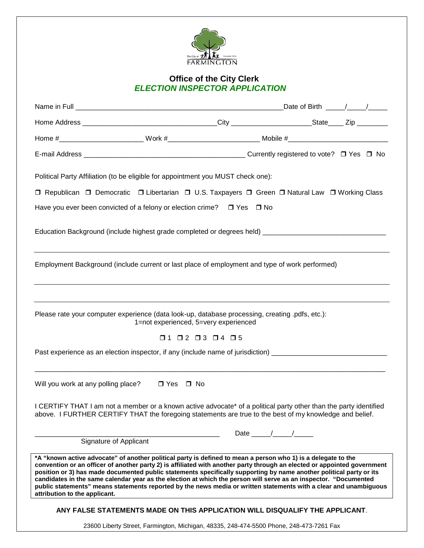

## **Office of the City Clerk** *ELECTION INSPECTOR APPLICATION*

|                                                                                                                                                                                                                                                                                                                                                                                                                                                                                                                                                                                                                                            |                                                                              |                              |  | _Date of Birth _____/____/_____ |
|--------------------------------------------------------------------------------------------------------------------------------------------------------------------------------------------------------------------------------------------------------------------------------------------------------------------------------------------------------------------------------------------------------------------------------------------------------------------------------------------------------------------------------------------------------------------------------------------------------------------------------------------|------------------------------------------------------------------------------|------------------------------|--|---------------------------------|
|                                                                                                                                                                                                                                                                                                                                                                                                                                                                                                                                                                                                                                            |                                                                              |                              |  |                                 |
|                                                                                                                                                                                                                                                                                                                                                                                                                                                                                                                                                                                                                                            |                                                                              |                              |  |                                 |
|                                                                                                                                                                                                                                                                                                                                                                                                                                                                                                                                                                                                                                            |                                                                              |                              |  |                                 |
| Political Party Affiliation (to be eligible for appointment you MUST check one):                                                                                                                                                                                                                                                                                                                                                                                                                                                                                                                                                           |                                                                              |                              |  |                                 |
| □ Republican □ Democratic □ Libertarian □ U.S. Taxpayers □ Green □ Natural Law □ Working Class                                                                                                                                                                                                                                                                                                                                                                                                                                                                                                                                             |                                                                              |                              |  |                                 |
| Have you ever been convicted of a felony or election crime? $\Box$ Yes $\Box$ No                                                                                                                                                                                                                                                                                                                                                                                                                                                                                                                                                           |                                                                              |                              |  |                                 |
|                                                                                                                                                                                                                                                                                                                                                                                                                                                                                                                                                                                                                                            |                                                                              |                              |  |                                 |
| Employment Background (include current or last place of employment and type of work performed)                                                                                                                                                                                                                                                                                                                                                                                                                                                                                                                                             |                                                                              |                              |  |                                 |
| Please rate your computer experience (data look-up, database processing, creating .pdfs, etc.):<br>1=not experienced, 5=very experienced<br>$\Box 1 \quad \Box 2 \quad \Box 3 \quad \Box 4 \quad \Box 5$<br>Past experience as an election inspector, if any (include name of jurisdiction) ______________________________                                                                                                                                                                                                                                                                                                                 |                                                                              |                              |  |                                 |
| Will you work at any polling place?                                                                                                                                                                                                                                                                                                                                                                                                                                                                                                                                                                                                        | □ Yes □ No                                                                   |                              |  |                                 |
| I CERTIFY THAT I am not a member or a known active advocate* of a political party other than the party identified<br>above. I FURTHER CERTIFY THAT the foregoing statements are true to the best of my knowledge and belief.                                                                                                                                                                                                                                                                                                                                                                                                               |                                                                              |                              |  |                                 |
| Signature of Applicant                                                                                                                                                                                                                                                                                                                                                                                                                                                                                                                                                                                                                     |                                                                              | Date $\frac{1}{\sqrt{2\pi}}$ |  |                                 |
| *A "known active advocate" of another political party is defined to mean a person who 1) is a delegate to the<br>convention or an officer of another party 2) is affiliated with another party through an elected or appointed government<br>position or 3) has made documented public statements specifically supporting by name another political party or its<br>candidates in the same calendar year as the election at which the person will serve as an inspector. "Documented<br>public statements" means statements reported by the news media or written statements with a clear and unambiguous<br>attribution to the applicant. |                                                                              |                              |  |                                 |
|                                                                                                                                                                                                                                                                                                                                                                                                                                                                                                                                                                                                                                            | ANY FALSE STATEMENTS MADE ON THIS APPLICATION WILL DISQUALIFY THE APPLICANT. |                              |  |                                 |
| 23600 Liberty Street, Farmington, Michigan, 48335, 248-474-5500 Phone, 248-473-7261 Fax                                                                                                                                                                                                                                                                                                                                                                                                                                                                                                                                                    |                                                                              |                              |  |                                 |